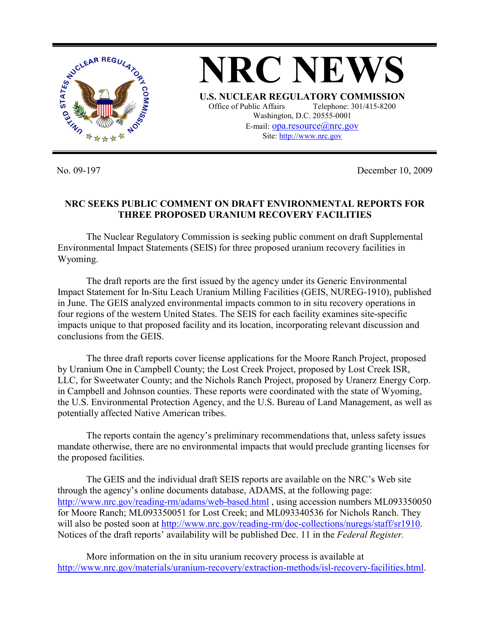

No. 09-197 December 10, 2009

## **NRC SEEKS PUBLIC COMMENT ON DRAFT ENVIRONMENTAL REPORTS FOR THREE PROPOSED URANIUM RECOVERY FACILITIES**

 The Nuclear Regulatory Commission is seeking public comment on draft Supplemental Environmental Impact Statements (SEIS) for three proposed uranium recovery facilities in Wyoming.

 The draft reports are the first issued by the agency under its Generic Environmental Impact Statement for In-Situ Leach Uranium Milling Facilities (GEIS, NUREG-1910), published in June. The GEIS analyzed environmental impacts common to in situ recovery operations in four regions of the western United States. The SEIS for each facility examines site-specific impacts unique to that proposed facility and its location, incorporating relevant discussion and conclusions from the GEIS.

 The three draft reports cover license applications for the Moore Ranch Project, proposed by Uranium One in Campbell County; the Lost Creek Project, proposed by Lost Creek ISR, LLC, for Sweetwater County; and the Nichols Ranch Project, proposed by Uranerz Energy Corp. in Campbell and Johnson counties. These reports were coordinated with the state of Wyoming, the U.S. Environmental Protection Agency, and the U.S. Bureau of Land Management, as well as potentially affected Native American tribes.

 The reports contain the agency's preliminary recommendations that, unless safety issues mandate otherwise, there are no environmental impacts that would preclude granting licenses for the proposed facilities.

 The GEIS and the individual draft SEIS reports are available on the NRC's Web site through the agency's online documents database, ADAMS, at the following page: http://www.nrc.gov/reading-rm/adams/web-based.html, using accession numbers ML093350050 for Moore Ranch; ML093350051 for Lost Creek; and ML093340536 for Nichols Ranch. They will also be posted soon at http://www.nrc.gov/reading-rm/doc-collections/nuregs/staff/sr1910. Notices of the draft reports' availability will be published Dec. 11 in the *Federal Register.* 

 More information on the in situ uranium recovery process is available at http://www.nrc.gov/materials/uranium-recovery/extraction-methods/isl-recovery-facilities.html.